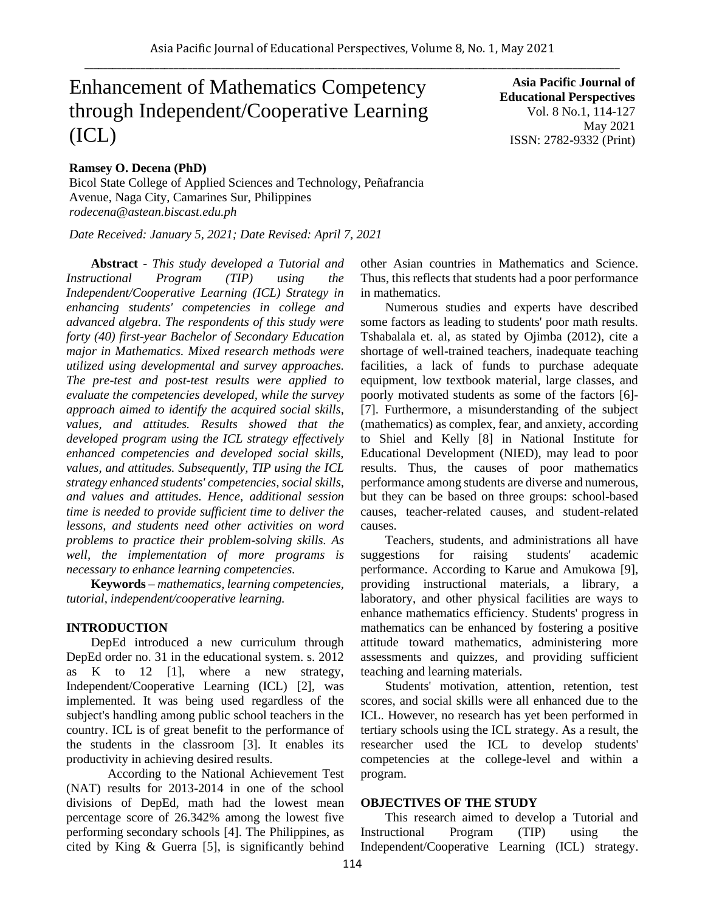# Enhancement of Mathematics Competency through Independent/Cooperative Learning (ICL)

## **Ramsey O. Decena (PhD)**

Bicol State College of Applied Sciences and Technology, Peñafrancia Avenue, Naga City, Camarines Sur, Philippines *rodecena@astean.biscast.edu.ph*

*Date Received: January 5, 2021; Date Revised: April 7, 2021*

**Abstract** *- This study developed a Tutorial and Instructional Program (TIP) using the Independent/Cooperative Learning (ICL) Strategy in enhancing students' competencies in college and advanced algebra. The respondents of this study were forty (40) first-year Bachelor of Secondary Education major in Mathematics. Mixed research methods were utilized using developmental and survey approaches. The pre-test and post-test results were applied to evaluate the competencies developed, while the survey approach aimed to identify the acquired social skills, values, and attitudes. Results showed that the developed program using the ICL strategy effectively enhanced competencies and developed social skills, values, and attitudes. Subsequently, TIP using the ICL strategy enhanced students' competencies, social skills, and values and attitudes. Hence, additional session time is needed to provide sufficient time to deliver the lessons, and students need other activities on word problems to practice their problem-solving skills. As well, the implementation of more programs is necessary to enhance learning competencies.*

**Keywords** *– mathematics, learning competencies, tutorial, independent/cooperative learning.*

#### **INTRODUCTION**

DepEd introduced a new curriculum through DepEd order no. 31 in the educational system. s. 2012 as K to 12 [1], where a new strategy, Independent/Cooperative Learning (ICL) [2], was implemented. It was being used regardless of the subject's handling among public school teachers in the country. ICL is of great benefit to the performance of the students in the classroom [3]. It enables its productivity in achieving desired results.

According to the National Achievement Test (NAT) results for 2013-2014 in one of the school divisions of DepEd, math had the lowest mean percentage score of 26.342% among the lowest five performing secondary schools [4]. The Philippines, as cited by King & Guerra [5], is significantly behind

**Asia Pacific Journal of Educational Perspectives**  Vol. 8 No.1, 114-127 May 2021 ISSN: 2782-9332 (Print)

other Asian countries in Mathematics and Science. Thus, this reflects that students had a poor performance in mathematics.

Numerous studies and experts have described some factors as leading to students' poor math results. Tshabalala et. al, as stated by Ojimba (2012), cite a shortage of well-trained teachers, inadequate teaching facilities, a lack of funds to purchase adequate equipment, low textbook material, large classes, and poorly motivated students as some of the factors [6]- [7]. Furthermore, a misunderstanding of the subject (mathematics) as complex, fear, and anxiety, according to Shiel and Kelly [8] in National Institute for Educational Development (NIED), may lead to poor results. Thus, the causes of poor mathematics performance among students are diverse and numerous, but they can be based on three groups: school-based causes, teacher-related causes, and student-related causes.

Teachers, students, and administrations all have suggestions for raising students' academic performance. According to Karue and Amukowa [9], providing instructional materials, a library, a laboratory, and other physical facilities are ways to enhance mathematics efficiency. Students' progress in mathematics can be enhanced by fostering a positive attitude toward mathematics, administering more assessments and quizzes, and providing sufficient teaching and learning materials.

Students' motivation, attention, retention, test scores, and social skills were all enhanced due to the ICL. However, no research has yet been performed in tertiary schools using the ICL strategy. As a result, the researcher used the ICL to develop students' competencies at the college-level and within a program.

#### **OBJECTIVES OF THE STUDY**

This research aimed to develop a Tutorial and Instructional Program (TIP) using the Independent/Cooperative Learning (ICL) strategy.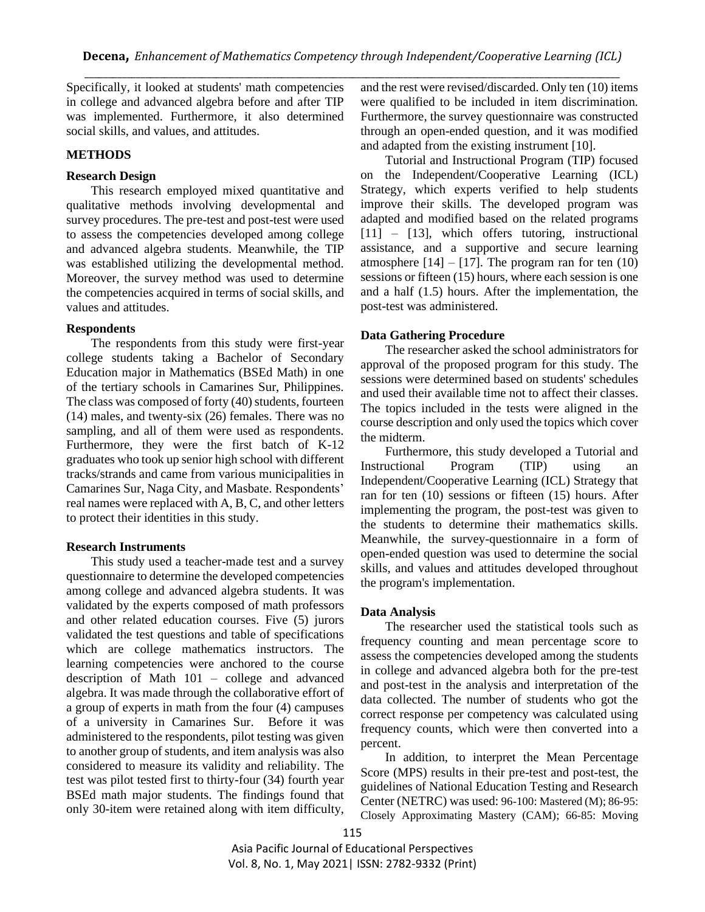Specifically, it looked at students' math competencies in college and advanced algebra before and after TIP was implemented. Furthermore, it also determined social skills, and values, and attitudes.

#### **METHODS**

## **Research Design**

This research employed mixed quantitative and qualitative methods involving developmental and survey procedures. The pre-test and post-test were used to assess the competencies developed among college and advanced algebra students. Meanwhile, the TIP was established utilizing the developmental method. Moreover, the survey method was used to determine the competencies acquired in terms of social skills, and values and attitudes.

#### **Respondents**

The respondents from this study were first-year college students taking a Bachelor of Secondary Education major in Mathematics (BSEd Math) in one of the tertiary schools in Camarines Sur, Philippines. The class was composed of forty (40) students, fourteen (14) males, and twenty-six (26) females. There was no sampling, and all of them were used as respondents. Furthermore, they were the first batch of K-12 graduates who took up senior high school with different tracks/strands and came from various municipalities in Camarines Sur, Naga City, and Masbate. Respondents' real names were replaced with A, B, C, and other letters to protect their identities in this study.

#### **Research Instruments**

This study used a teacher-made test and a survey questionnaire to determine the developed competencies among college and advanced algebra students. It was validated by the experts composed of math professors and other related education courses. Five (5) jurors validated the test questions and table of specifications which are college mathematics instructors. The learning competencies were anchored to the course description of Math 101 – college and advanced algebra. It was made through the collaborative effort of a group of experts in math from the four (4) campuses of a university in Camarines Sur. Before it was administered to the respondents, pilot testing was given to another group of students, and item analysis was also considered to measure its validity and reliability. The test was pilot tested first to thirty-four (34) fourth year BSEd math major students. The findings found that only 30-item were retained along with item difficulty,

and the rest were revised/discarded. Only ten (10) items were qualified to be included in item discrimination. Furthermore, the survey questionnaire was constructed through an open-ended question, and it was modified and adapted from the existing instrument [10].

Tutorial and Instructional Program (TIP) focused on the Independent/Cooperative Learning (ICL) Strategy, which experts verified to help students improve their skills. The developed program was adapted and modified based on the related programs  $[11]$  –  $[13]$ , which offers tutoring, instructional assistance, and a supportive and secure learning atmosphere  $[14] - [17]$ . The program ran for ten  $(10)$ sessions or fifteen (15) hours, where each session is one and a half (1.5) hours. After the implementation, the post-test was administered.

#### **Data Gathering Procedure**

The researcher asked the school administrators for approval of the proposed program for this study. The sessions were determined based on students' schedules and used their available time not to affect their classes. The topics included in the tests were aligned in the course description and only used the topics which cover the midterm.

Furthermore, this study developed a Tutorial and Instructional Program (TIP) using an Independent/Cooperative Learning (ICL) Strategy that ran for ten (10) sessions or fifteen (15) hours. After implementing the program, the post-test was given to the students to determine their mathematics skills. Meanwhile, the survey-questionnaire in a form of open-ended question was used to determine the social skills, and values and attitudes developed throughout the program's implementation.

#### **Data Analysis**

The researcher used the statistical tools such as frequency counting and mean percentage score to assess the competencies developed among the students in college and advanced algebra both for the pre-test and post-test in the analysis and interpretation of the data collected. The number of students who got the correct response per competency was calculated using frequency counts, which were then converted into a percent.

In addition, to interpret the Mean Percentage Score (MPS) results in their pre-test and post-test, the guidelines of National Education Testing and Research Center (NETRC) was used: 96-100: Mastered (M); 86-95: Closely Approximating Mastery (CAM); 66-85: Moving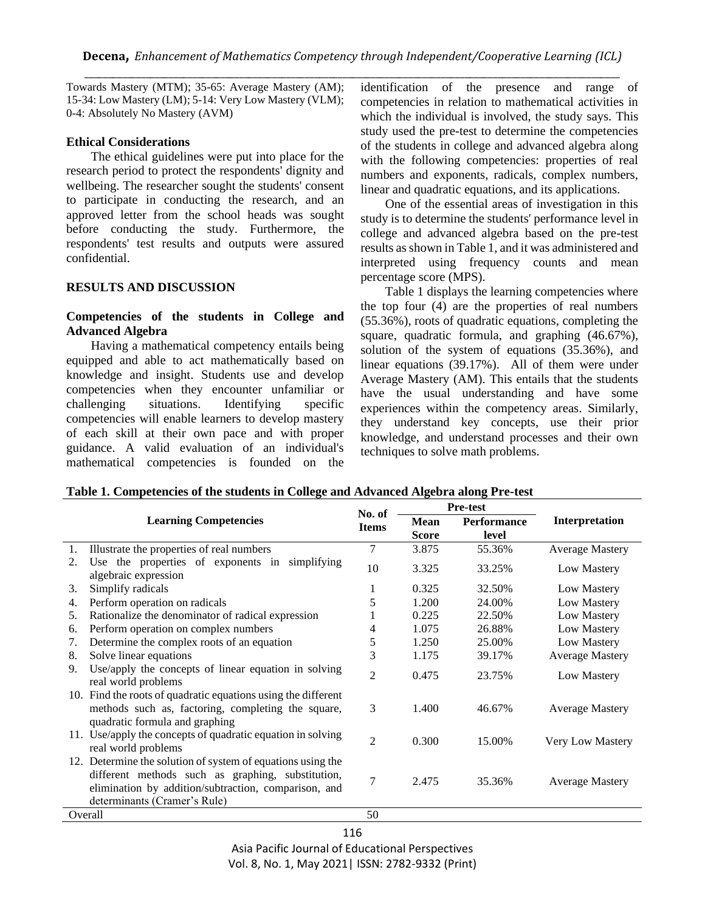Towards Mastery (MTM); 35-65: Average Mastery (AM); 15-34: Low Mastery (LM); 5-14: Very Low Mastery (VLM); 0-4: Absolutely No Mastery (AVM)

#### **Ethical Considerations**

The ethical guidelines were put into place for the research period to protect the respondents' dignity and wellbeing. The researcher sought the students' consent to participate in conducting the research, and an approved letter from the school heads was sought before conducting the study. Furthermore, the respondents' test results and outputs were assured confidential.

## **RESULTS AND DISCUSSION**

## **Competencies of the students in College and Advanced Algebra**

Having a mathematical competency entails being equipped and able to act mathematically based on knowledge and insight. Students use and develop competencies when they encounter unfamiliar or challenging situations. Identifying specific competencies will enable learners to develop mastery of each skill at their own pace and with proper guidance. A valid evaluation of an individual's mathematical competencies is founded on the identification of the presence and range of competencies in relation to mathematical activities in which the individual is involved, the study says. This study used the pre-test to determine the competencies of the students in college and advanced algebra along with the following competencies: properties of real numbers and exponents, radicals, complex numbers, linear and quadratic equations, and its applications.

One of the essential areas of investigation in this study is to determine the students' performance level in college and advanced algebra based on the pre-test results as shown in Table 1, and it was administered and interpreted using frequency counts and mean percentage score (MPS).

Table 1 displays the learning competencies where the top four (4) are the properties of real numbers (55.36%), roots of quadratic equations, completing the square, quadratic formula, and graphing (46.67%), solution of the system of equations (35.36%), and linear equations (39.17%). All of them were under Average Mastery (AM). This entails that the students have the usual understanding and have some experiences within the competency areas. Similarly, they understand key concepts, use their prior knowledge, and understand processes and their own techniques to solve math problems.

|  |  | Table 1. Competencies of the students in College and Advanced Algebra along Pre-test |
|--|--|--------------------------------------------------------------------------------------|
|  |  |                                                                                      |

| <b>Learning Competencies</b> |                                                                                                                                                                                                          |                |              | <b>Pre-test</b>    |                        |  |
|------------------------------|----------------------------------------------------------------------------------------------------------------------------------------------------------------------------------------------------------|----------------|--------------|--------------------|------------------------|--|
|                              |                                                                                                                                                                                                          |                | Mean         | <b>Performance</b> | Interpretation         |  |
|                              |                                                                                                                                                                                                          |                | <b>Score</b> | level              |                        |  |
| 1.                           | Illustrate the properties of real numbers                                                                                                                                                                | 7              | 3.875        | 55.36%             | <b>Average Mastery</b> |  |
| 2.                           | Use the properties of exponents in simplifying<br>algebraic expression                                                                                                                                   | 10             | 3.325        | 33.25%             | Low Mastery            |  |
| 3.                           | Simplify radicals                                                                                                                                                                                        |                | 0.325        | 32.50%             | Low Mastery            |  |
| 4.                           | Perform operation on radicals                                                                                                                                                                            | 5              | 1.200        | 24.00%             | Low Mastery            |  |
| 5.                           | Rationalize the denominator of radical expression                                                                                                                                                        |                | 0.225        | 22.50%             | Low Mastery            |  |
| 6.                           | Perform operation on complex numbers                                                                                                                                                                     | 4              | 1.075        | 26.88%             | Low Mastery            |  |
| 7.                           | Determine the complex roots of an equation                                                                                                                                                               | 5              | 1.250        | 25.00%             | Low Mastery            |  |
| 8.                           | Solve linear equations                                                                                                                                                                                   | 3              | 1.175        | 39.17%             | <b>Average Mastery</b> |  |
| 9.                           | Use/apply the concepts of linear equation in solving<br>real world problems                                                                                                                              | $\overline{2}$ | 0.475        | 23.75%             | Low Mastery            |  |
|                              | 10. Find the roots of quadratic equations using the different<br>methods such as, factoring, completing the square,<br>quadratic formula and graphing                                                    | 3              | 1.400        | 46.67%             | <b>Average Mastery</b> |  |
|                              | 11. Use/apply the concepts of quadratic equation in solving<br>real world problems                                                                                                                       | $\overline{2}$ | 0.300        | 15.00%             | Very Low Mastery       |  |
|                              | 12. Determine the solution of system of equations using the<br>different methods such as graphing, substitution,<br>elimination by addition/subtraction, comparison, and<br>determinants (Cramer's Rule) | 7              | 2.475        | 35.36%             | <b>Average Mastery</b> |  |
| Overall                      |                                                                                                                                                                                                          |                |              |                    |                        |  |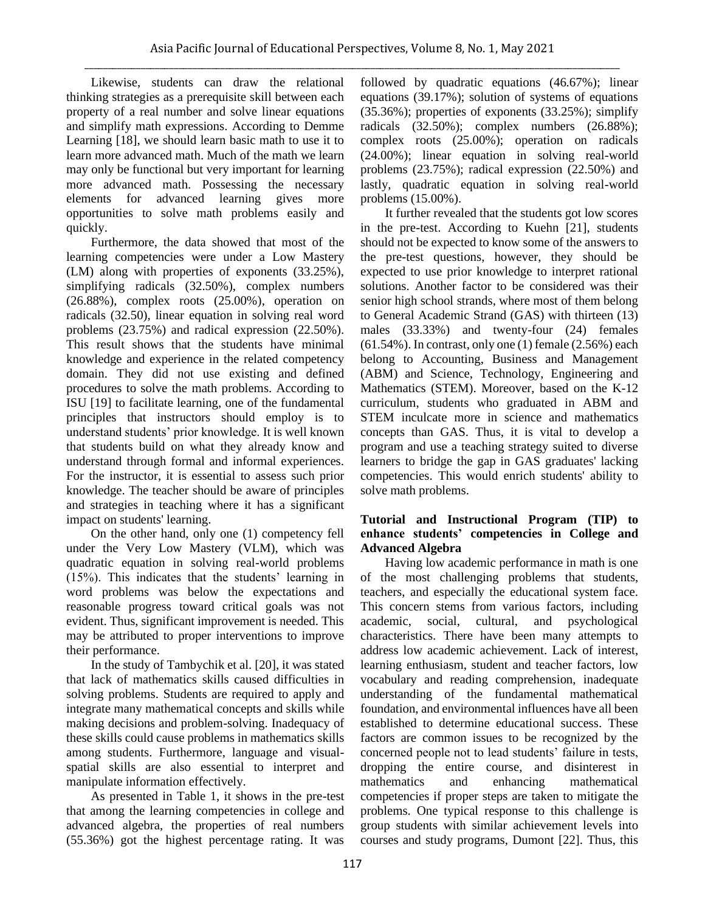Likewise, students can draw the relational thinking strategies as a prerequisite skill between each property of a real number and solve linear equations and simplify math expressions. According to Demme Learning [18], we should learn basic math to use it to learn more advanced math. Much of the math we learn may only be functional but very important for learning more advanced math. Possessing the necessary elements for advanced learning gives more opportunities to solve math problems easily and quickly.

Furthermore, the data showed that most of the learning competencies were under a Low Mastery (LM) along with properties of exponents (33.25%), simplifying radicals (32.50%), complex numbers (26.88%), complex roots (25.00%), operation on radicals (32.50), linear equation in solving real word problems (23.75%) and radical expression (22.50%). This result shows that the students have minimal knowledge and experience in the related competency domain. They did not use existing and defined procedures to solve the math problems. According to ISU [19] to facilitate learning, one of the fundamental principles that instructors should employ is to understand students' prior knowledge. It is well known that students build on what they already know and understand through formal and informal experiences. For the instructor, it is essential to assess such prior knowledge. The teacher should be aware of principles and strategies in teaching where it has a significant impact on students' learning.

On the other hand, only one (1) competency fell under the Very Low Mastery (VLM), which was quadratic equation in solving real-world problems (15%). This indicates that the students' learning in word problems was below the expectations and reasonable progress toward critical goals was not evident. Thus, significant improvement is needed. This may be attributed to proper interventions to improve their performance.

In the study of Tambychik et al. [20], it was stated that lack of mathematics skills caused difficulties in solving problems. Students are required to apply and integrate many mathematical concepts and skills while making decisions and problem-solving. Inadequacy of these skills could cause problems in mathematics skills among students. Furthermore, language and visualspatial skills are also essential to interpret and manipulate information effectively.

As presented in Table 1, it shows in the pre-test that among the learning competencies in college and advanced algebra, the properties of real numbers (55.36%) got the highest percentage rating. It was followed by quadratic equations (46.67%); linear equations (39.17%); solution of systems of equations (35.36%); properties of exponents (33.25%); simplify radicals (32.50%); complex numbers (26.88%); complex roots (25.00%); operation on radicals (24.00%); linear equation in solving real-world problems (23.75%); radical expression (22.50%) and lastly, quadratic equation in solving real-world problems (15.00%).

It further revealed that the students got low scores in the pre-test. According to Kuehn [21], students should not be expected to know some of the answers to the pre-test questions, however, they should be expected to use prior knowledge to interpret rational solutions. Another factor to be considered was their senior high school strands, where most of them belong to General Academic Strand (GAS) with thirteen (13) males (33.33%) and twenty-four (24) females  $(61.54\%)$ . In contrast, only one  $(1)$  female  $(2.56\%)$  each belong to Accounting, Business and Management (ABM) and Science, Technology, Engineering and Mathematics (STEM). Moreover, based on the K-12 curriculum, students who graduated in ABM and STEM inculcate more in science and mathematics concepts than GAS. Thus, it is vital to develop a program and use a teaching strategy suited to diverse learners to bridge the gap in GAS graduates' lacking competencies. This would enrich students' ability to solve math problems.

## **Tutorial and Instructional Program (TIP) to enhance students' competencies in College and Advanced Algebra**

Having low academic performance in math is one of the most challenging problems that students, teachers, and especially the educational system face. This concern stems from various factors, including academic, social, cultural, and psychological characteristics. There have been many attempts to address low academic achievement. Lack of interest, learning enthusiasm, student and teacher factors, low vocabulary and reading comprehension, inadequate understanding of the fundamental mathematical foundation, and environmental influences have all been established to determine educational success. These factors are common issues to be recognized by the concerned people not to lead students' failure in tests, dropping the entire course, and disinterest in mathematics and enhancing mathematical competencies if proper steps are taken to mitigate the problems. One typical response to this challenge is group students with similar achievement levels into courses and study programs, Dumont [22]. Thus, this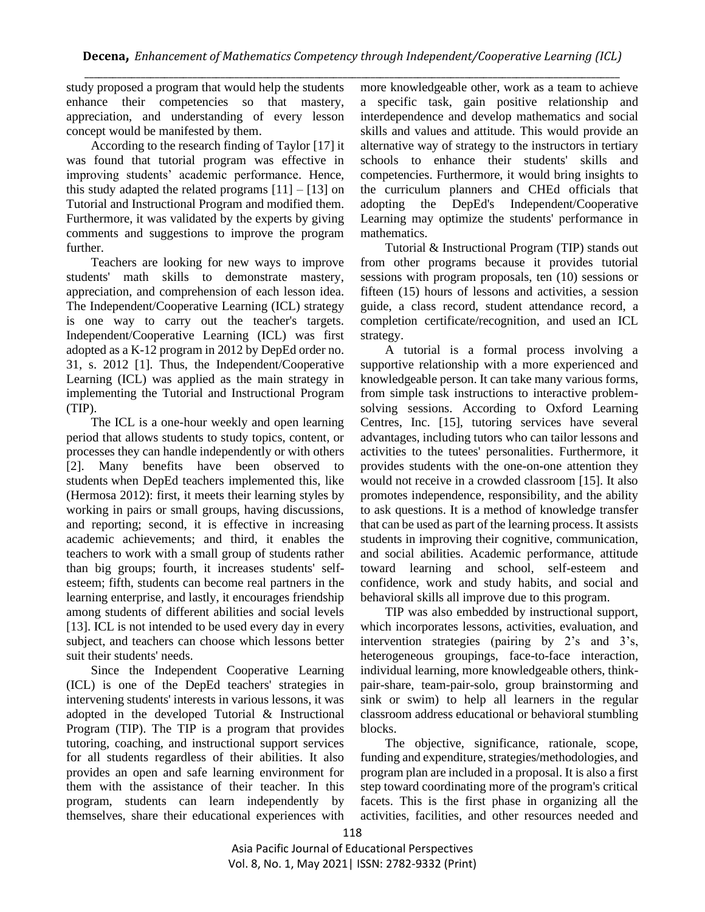study proposed a program that would help the students enhance their competencies so that mastery, appreciation, and understanding of every lesson concept would be manifested by them.

According to the research finding of Taylor [17] it was found that tutorial program was effective in improving students' academic performance. Hence, this study adapted the related programs  $[11] - [13]$  on Tutorial and Instructional Program and modified them. Furthermore, it was validated by the experts by giving comments and suggestions to improve the program further.

Teachers are looking for new ways to improve students' math skills to demonstrate mastery, appreciation, and comprehension of each lesson idea. The Independent/Cooperative Learning (ICL) strategy is one way to carry out the teacher's targets. Independent/Cooperative Learning (ICL) was first adopted as a K-12 program in 2012 by DepEd order no. 31, s. 2012 [1]. Thus, the Independent/Cooperative Learning (ICL) was applied as the main strategy in implementing the Tutorial and Instructional Program (TIP).

The ICL is a one-hour weekly and open learning period that allows students to study topics, content, or processes they can handle independently or with others [2]. Many benefits have been observed to students when DepEd teachers implemented this, like (Hermosa 2012): first, it meets their learning styles by working in pairs or small groups, having discussions, and reporting; second, it is effective in increasing academic achievements; and third, it enables the teachers to work with a small group of students rather than big groups; fourth, it increases students' selfesteem; fifth, students can become real partners in the learning enterprise, and lastly, it encourages friendship among students of different abilities and social levels [13]. ICL is not intended to be used every day in every subject, and teachers can choose which lessons better suit their students' needs.

Since the Independent Cooperative Learning (ICL) is one of the DepEd teachers' strategies in intervening students' interests in various lessons, it was adopted in the developed Tutorial & Instructional Program (TIP). The TIP is a program that provides tutoring, coaching, and instructional support services for all students regardless of their abilities. It also provides an open and safe learning environment for them with the assistance of their teacher. In this program, students can learn independently by themselves, share their educational experiences with more knowledgeable other, work as a team to achieve a specific task, gain positive relationship and interdependence and develop mathematics and social skills and values and attitude. This would provide an alternative way of strategy to the instructors in tertiary schools to enhance their students' skills and competencies. Furthermore, it would bring insights to the curriculum planners and CHEd officials that adopting the DepEd's Independent/Cooperative Learning may optimize the students' performance in mathematics.

Tutorial & Instructional Program (TIP) stands out from other programs because it provides tutorial sessions with program proposals, ten (10) sessions or fifteen (15) hours of lessons and activities, a session guide, a class record, student attendance record, a completion certificate/recognition, and used an ICL strategy.

A tutorial is a formal process involving a supportive relationship with a more experienced and knowledgeable person. It can take many various forms, from simple task instructions to interactive problemsolving sessions. According to Oxford Learning Centres, Inc. [15], tutoring services have several advantages, including tutors who can tailor lessons and activities to the tutees' personalities. Furthermore, it provides students with the one-on-one attention they would not receive in a crowded classroom [15]. It also promotes independence, responsibility, and the ability to ask questions. It is a method of knowledge transfer that can be used as part of the learning process. It assists students in improving their cognitive, communication, and social abilities. Academic performance, attitude toward learning and school, self-esteem and confidence, work and study habits, and social and behavioral skills all improve due to this program.

TIP was also embedded by instructional support, which incorporates lessons, activities, evaluation, and intervention strategies (pairing by 2's and 3's, heterogeneous groupings, face-to-face interaction, individual learning, more knowledgeable others, thinkpair-share, team-pair-solo, group brainstorming and sink or swim) to help all learners in the regular classroom address educational or behavioral stumbling blocks.

The objective, significance, rationale, scope, funding and expenditure, strategies/methodologies, and program plan are included in a proposal. It is also a first step toward coordinating more of the program's critical facets. This is the first phase in organizing all the activities, facilities, and other resources needed and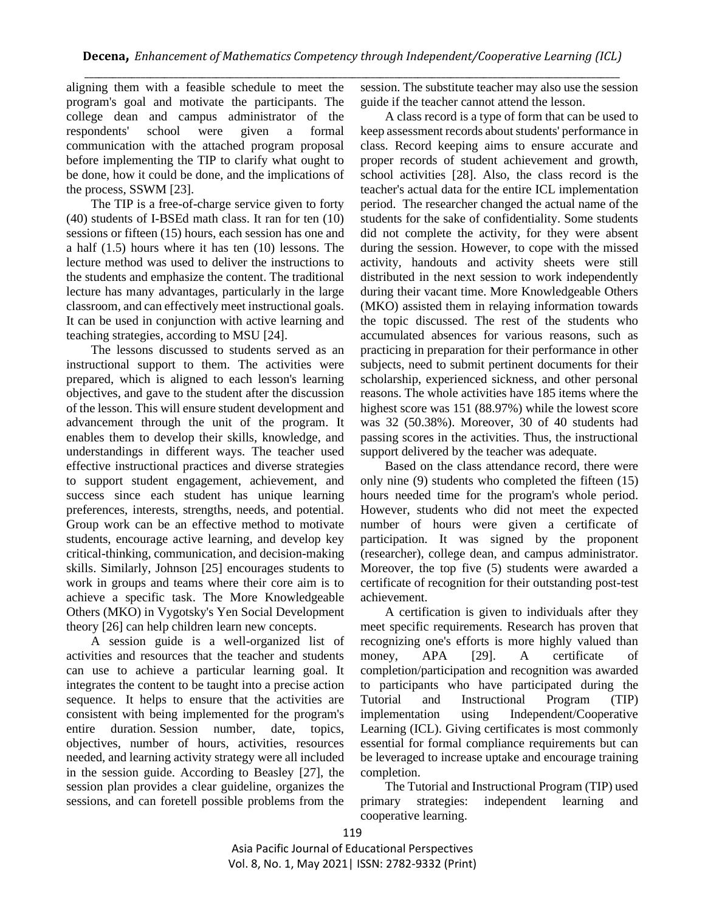\_\_\_\_\_\_\_\_\_\_\_\_\_\_\_\_\_\_\_\_\_\_\_\_\_\_\_\_\_\_\_\_\_\_\_\_\_\_\_\_\_\_\_\_\_\_\_\_\_\_\_\_\_\_\_\_\_\_\_\_\_\_\_\_\_\_\_\_\_\_\_\_\_\_\_\_\_\_\_\_\_\_\_\_\_\_\_\_\_\_\_\_\_\_\_\_\_\_\_\_\_\_\_\_\_\_\_\_\_\_\_\_\_\_ aligning them with a feasible schedule to meet the program's goal and motivate the participants. The college dean and campus administrator of the respondents' school were given a formal communication with the attached program proposal before implementing the TIP to clarify what ought to be done, how it could be done, and the implications of the process, SSWM [23].

The TIP is a free-of-charge service given to forty (40) students of I-BSEd math class. It ran for ten (10) sessions or fifteen (15) hours, each session has one and a half (1.5) hours where it has ten (10) lessons. The lecture method was used to deliver the instructions to the students and emphasize the content. The traditional lecture has many advantages, particularly in the large classroom, and can effectively meet instructional goals. It can be used in conjunction with active learning and teaching strategies, according to MSU [24].

The lessons discussed to students served as an instructional support to them. The activities were prepared, which is aligned to each lesson's learning objectives, and gave to the student after the discussion of the lesson. This will ensure student development and advancement through the unit of the program. It enables them to develop their skills, knowledge, and understandings in different ways. The teacher used effective instructional practices and diverse strategies to support student engagement, achievement, and success since each student has unique learning preferences, interests, strengths, needs, and potential. Group work can be an effective method to motivate students, encourage active learning, and develop key critical-thinking, communication, and decision-making skills. Similarly, Johnson [25] encourages students to work in groups and teams where their core aim is to achieve a specific task. The More Knowledgeable Others (MKO) in Vygotsky's Yen Social Development theory [26] can help children learn new concepts.

A session guide is a well-organized list of activities and resources that the teacher and students can use to achieve a particular learning goal. It integrates the content to be taught into a precise action sequence. It helps to ensure that the activities are consistent with being implemented for the program's entire duration. Session number, date, topics, objectives, number of hours, activities, resources needed, and learning activity strategy were all included in the session guide. According to Beasley [27], the session plan provides a clear guideline, organizes the sessions, and can foretell possible problems from the session. The substitute teacher may also use the session guide if the teacher cannot attend the lesson.

A class record is a type of form that can be used to keep assessment records about students' performance in class. Record keeping aims to ensure accurate and proper records of student achievement and growth, school activities [28]. Also, the class record is the teacher's actual data for the entire ICL implementation period. The researcher changed the actual name of the students for the sake of confidentiality. Some students did not complete the activity, for they were absent during the session. However, to cope with the missed activity, handouts and activity sheets were still distributed in the next session to work independently during their vacant time. More Knowledgeable Others (MKO) assisted them in relaying information towards the topic discussed. The rest of the students who accumulated absences for various reasons, such as practicing in preparation for their performance in other subjects, need to submit pertinent documents for their scholarship, experienced sickness, and other personal reasons. The whole activities have 185 items where the highest score was 151 (88.97%) while the lowest score was 32 (50.38%). Moreover, 30 of 40 students had passing scores in the activities. Thus, the instructional support delivered by the teacher was adequate.

Based on the class attendance record, there were only nine (9) students who completed the fifteen (15) hours needed time for the program's whole period. However, students who did not meet the expected number of hours were given a certificate of participation. It was signed by the proponent (researcher), college dean, and campus administrator. Moreover, the top five (5) students were awarded a certificate of recognition for their outstanding post-test achievement.

A certification is given to individuals after they meet specific requirements. Research has proven that recognizing one's efforts is more highly valued than money, APA [29]. A certificate of completion/participation and recognition was awarded to participants who have participated during the Tutorial and Instructional Program (TIP) implementation using Independent/Cooperative Learning (ICL). Giving certificates is most commonly essential for formal compliance requirements but can be leveraged to increase uptake and encourage training completion.

The Tutorial and Instructional Program (TIP) used primary strategies: independent learning and cooperative learning.

<sup>119</sup>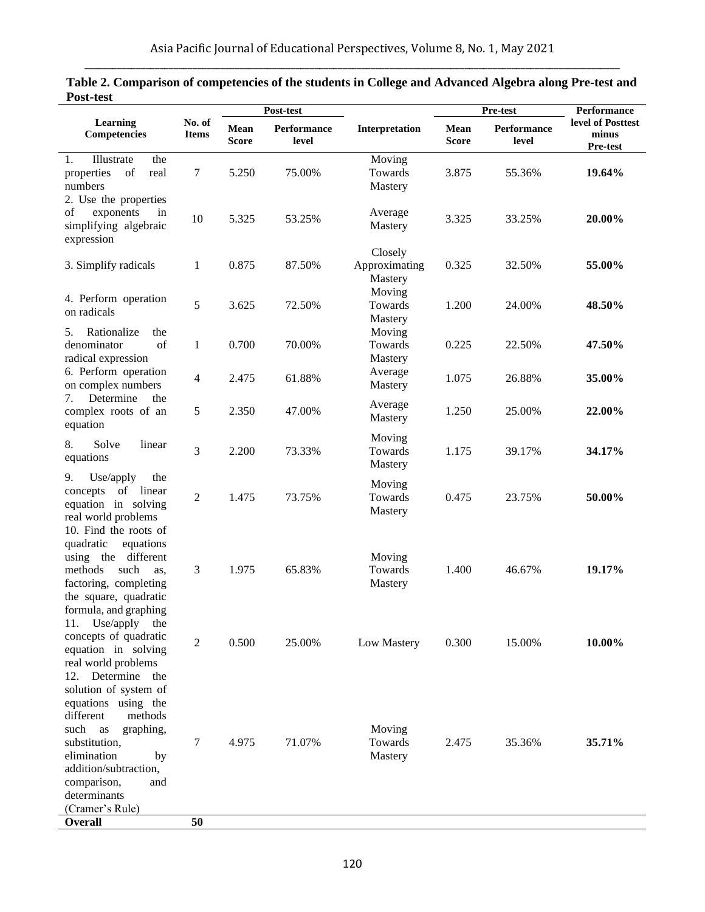| 1 USU-LUSL                                                                                                                                                                                                              |                        | Post-test            |                      |                                     | Pre-test             |                      | <b>Performance</b>                     |
|-------------------------------------------------------------------------------------------------------------------------------------------------------------------------------------------------------------------------|------------------------|----------------------|----------------------|-------------------------------------|----------------------|----------------------|----------------------------------------|
| Learning<br>Competencies                                                                                                                                                                                                | No. of<br><b>Items</b> | Mean<br><b>Score</b> | Performance<br>level | Interpretation                      | Mean<br><b>Score</b> | Performance<br>level | level of Posttest<br>minus<br>Pre-test |
| Illustrate<br>the<br>1.<br>of<br>real<br>properties<br>numbers<br>2. Use the properties                                                                                                                                 | 7                      | 5.250                | 75.00%               | Moving<br>Towards<br>Mastery        | 3.875                | 55.36%               | 19.64%                                 |
| exponents<br>of<br>in<br>simplifying algebraic<br>expression                                                                                                                                                            | 10                     | 5.325                | 53.25%               | Average<br>Mastery                  | 3.325                | 33.25%               | 20.00%                                 |
| 3. Simplify radicals                                                                                                                                                                                                    | 1                      | 0.875                | 87.50%               | Closely<br>Approximating<br>Mastery | 0.325                | 32.50%               | 55.00%                                 |
| 4. Perform operation<br>on radicals<br>Rationalize<br>the                                                                                                                                                               | 5                      | 3.625                | 72.50%               | Moving<br>Towards<br>Mastery        | 1.200                | 24.00%               | 48.50%                                 |
| 5.<br>of<br>denominator<br>radical expression<br>6. Perform operation                                                                                                                                                   | $\mathbf{1}$           | 0.700                | 70.00%               | Moving<br>Towards<br>Mastery        | 0.225                | 22.50%               | 47.50%                                 |
| on complex numbers                                                                                                                                                                                                      | 4                      | 2.475                | 61.88%               | Average<br>Mastery                  | 1.075                | 26.88%               | 35.00%                                 |
| Determine<br>the<br>7.<br>complex roots of an<br>equation                                                                                                                                                               | 5                      | 2.350                | 47.00%               | Average<br>Mastery                  | 1.250                | 25.00%               | 22.00%                                 |
| 8.<br>Solve<br>linear<br>equations                                                                                                                                                                                      | 3                      | 2.200                | 73.33%               | Moving<br>Towards<br>Mastery        | 1.175                | 39.17%               | 34.17%                                 |
| Use/apply<br>9.<br>the<br>of linear<br>concepts<br>equation in solving<br>real world problems                                                                                                                           | $\overline{2}$         | 1.475                | 73.75%               | Moving<br>Towards<br>Mastery        | 0.475                | 23.75%               | 50.00%                                 |
| 10. Find the roots of<br>equations<br>quadratic<br>using the different<br>methods<br>such<br>as.<br>factoring, completing<br>the square, quadratic<br>formula, and graphing                                             | 3                      | 1.975                | 65.83%               | Moving<br>Towards<br>Mastery        | 1.400                | 46.67%               | 19.17%                                 |
| Use/apply<br>11.<br>the<br>concepts of quadratic<br>equation in solving<br>real world problems<br>Determine the<br>12.                                                                                                  | $\overline{2}$         | 0.500                | 25.00%               | Low Mastery                         | 0.300                | 15.00%               | 10.00%                                 |
| solution of system of<br>equations using the<br>different<br>methods<br>such<br>graphing,<br>as<br>substitution,<br>elimination<br>by<br>addition/subtraction,<br>comparison,<br>and<br>determinants<br>(Cramer's Rule) | 7                      | 4.975                | 71.07%               | Moving<br>Towards<br>Mastery        | 2.475                | 35.36%               | 35.71%                                 |
| <b>Overall</b>                                                                                                                                                                                                          | 50                     |                      |                      |                                     |                      |                      |                                        |

## **Table 2. Comparison of competencies of the students in College and Advanced Algebra along Pre-test and Post-test**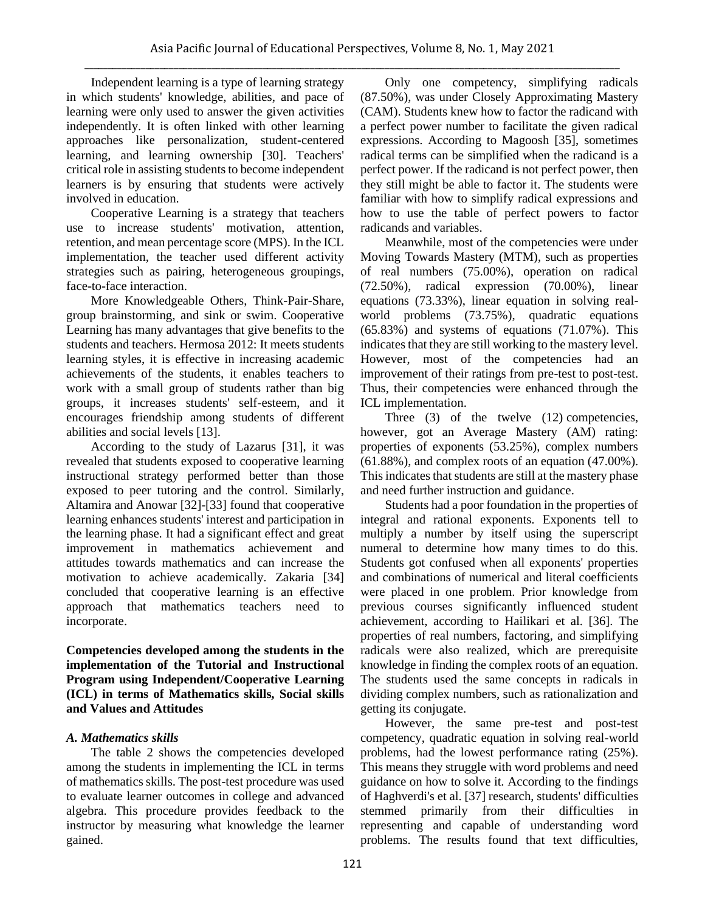Independent learning is a type of learning strategy in which students' knowledge, abilities, and pace of learning were only used to answer the given activities independently. It is often linked with other learning approaches like personalization, student-centered learning, and learning ownership [30]. Teachers' critical role in assisting students to become independent learners is by ensuring that students were actively involved in education.

Cooperative Learning is a strategy that teachers use to increase students' motivation, attention, retention, and mean percentage score (MPS). In the ICL implementation, the teacher used different activity strategies such as pairing, heterogeneous groupings, face-to-face interaction.

More Knowledgeable Others, Think-Pair-Share, group brainstorming, and sink or swim. Cooperative Learning has many advantages that give benefits to the students and teachers. Hermosa 2012: It meets students learning styles, it is effective in increasing academic achievements of the students, it enables teachers to work with a small group of students rather than big groups, it increases students' self-esteem, and it encourages friendship among students of different abilities and social levels [13].

According to the study of Lazarus [31], it was revealed that students exposed to cooperative learning instructional strategy performed better than those exposed to peer tutoring and the control. Similarly, Altamira and Anowar [32]-[33] found that cooperative learning enhances students' interest and participation in the learning phase. It had a significant effect and great improvement in mathematics achievement and attitudes towards mathematics and can increase the motivation to achieve academically. Zakaria [34] concluded that cooperative learning is an effective approach that mathematics teachers need to incorporate.

**Competencies developed among the students in the implementation of the Tutorial and Instructional Program using Independent/Cooperative Learning (ICL) in terms of Mathematics skills, Social skills and Values and Attitudes**

# *A. Mathematics skills*

The table 2 shows the competencies developed among the students in implementing the ICL in terms of mathematics skills. The post-test procedure was used to evaluate learner outcomes in college and advanced algebra. This procedure provides feedback to the instructor by measuring what knowledge the learner gained.

Only one competency, simplifying radicals (87.50%), was under Closely Approximating Mastery (CAM). Students knew how to factor the radicand with a perfect power number to facilitate the given radical expressions. According to Magoosh [35], sometimes radical terms can be simplified when the radicand is a perfect power. If the radicand is not perfect power, then they still might be able to factor it. The students were familiar with how to simplify radical expressions and how to use the table of perfect powers to factor radicands and variables.

Meanwhile, most of the competencies were under Moving Towards Mastery (MTM), such as properties of real numbers (75.00%), operation on radical (72.50%), radical expression (70.00%), linear equations (73.33%), linear equation in solving realworld problems (73.75%), quadratic equations (65.83%) and systems of equations (71.07%). This indicates that they are still working to the mastery level. However, most of the competencies had an improvement of their ratings from pre-test to post-test. Thus, their competencies were enhanced through the ICL implementation.

Three (3) of the twelve (12) competencies, however, got an Average Mastery (AM) rating: properties of exponents (53.25%), complex numbers (61.88%), and complex roots of an equation (47.00%). This indicates that students are still at the mastery phase and need further instruction and guidance.

Students had a poor foundation in the properties of integral and rational exponents. Exponents tell to multiply a number by itself using the superscript numeral to determine how many times to do this. Students got confused when all exponents' properties and combinations of numerical and literal coefficients were placed in one problem. Prior knowledge from previous courses significantly influenced student achievement, according to Hailikari et al. [36]. The properties of real numbers, factoring, and simplifying radicals were also realized, which are prerequisite knowledge in finding the complex roots of an equation. The students used the same concepts in radicals in dividing complex numbers, such as rationalization and getting its conjugate.

However, the same pre-test and post-test competency, quadratic equation in solving real-world problems, had the lowest performance rating (25%). This means they struggle with word problems and need guidance on how to solve it. According to the findings of Haghverdi's et al. [37] research, students' difficulties stemmed primarily from their difficulties in representing and capable of understanding word problems. The results found that text difficulties,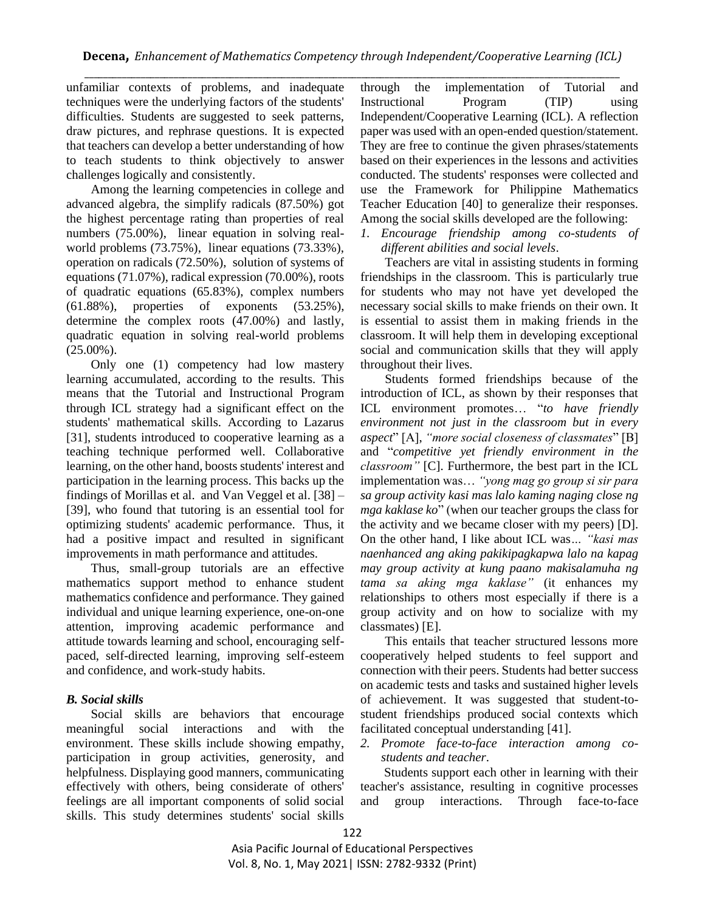unfamiliar contexts of problems, and inadequate techniques were the underlying factors of the students' difficulties. Students are suggested to seek patterns, draw pictures, and rephrase questions. It is expected that teachers can develop a better understanding of how to teach students to think objectively to answer challenges logically and consistently.

Among the learning competencies in college and advanced algebra, the simplify radicals (87.50%) got the highest percentage rating than properties of real numbers (75.00%), linear equation in solving realworld problems (73.75%), linear equations (73.33%), operation on radicals (72.50%), solution of systems of equations (71.07%), radical expression (70.00%), roots of quadratic equations (65.83%), complex numbers (61.88%), properties of exponents (53.25%), determine the complex roots (47.00%) and lastly, quadratic equation in solving real-world problems  $(25.00\%)$ .

Only one (1) competency had low mastery learning accumulated, according to the results. This means that the Tutorial and Instructional Program through ICL strategy had a significant effect on the students' mathematical skills. According to Lazarus [31], students introduced to cooperative learning as a teaching technique performed well. Collaborative learning, on the other hand, boosts students' interest and participation in the learning process. This backs up the findings of Morillas et al. and Van Veggel et al. [38] – [39], who found that tutoring is an essential tool for optimizing students' academic performance. Thus, it had a positive impact and resulted in significant improvements in math performance and attitudes.

Thus, small-group tutorials are an effective mathematics support method to enhance student mathematics confidence and performance. They gained individual and unique learning experience, one-on-one attention, improving academic performance and attitude towards learning and school, encouraging selfpaced, self-directed learning, improving self-esteem and confidence, and work-study habits.

#### *B. Social skills*

Social skills are behaviors that encourage meaningful social interactions and with the environment. These skills include showing empathy, participation in group activities, generosity, and helpfulness. Displaying good manners, communicating effectively with others, being considerate of others' feelings are all important components of solid social skills. This study determines students' social skills

through the implementation of Tutorial and Instructional Program (TIP) using Independent/Cooperative Learning (ICL). A reflection paper was used with an open-ended question/statement. They are free to continue the given phrases/statements based on their experiences in the lessons and activities conducted. The students' responses were collected and use the Framework for Philippine Mathematics Teacher Education [40] to generalize their responses. Among the social skills developed are the following:

*1. Encourage friendship among co-students of different abilities and social levels*.

Teachers are vital in assisting students in forming friendships in the classroom. This is particularly true for students who may not have yet developed the necessary social skills to make friends on their own. It is essential to assist them in making friends in the classroom. It will help them in developing exceptional social and communication skills that they will apply throughout their lives.

Students formed friendships because of the introduction of ICL, as shown by their responses that ICL environment promotes… "*to have friendly environment not just in the classroom but in every aspect*" [A], *"more social closeness of classmates*" [B] and "*competitive yet friendly environment in the classroom"* [C]. Furthermore, the best part in the ICL implementation was… *"yong mag go group si sir para sa group activity kasi mas lalo kaming naging close ng mga kaklase ko*" (when our teacher groups the class for the activity and we became closer with my peers) [D]. On the other hand, I like about ICL was*… "kasi mas naenhanced ang aking pakikipagkapwa lalo na kapag may group activity at kung paano makisalamuha ng tama sa aking mga kaklase"* (it enhances my relationships to others most especially if there is a group activity and on how to socialize with my classmates) [E].

This entails that teacher structured lessons more cooperatively helped students to feel support and connection with their peers. Students had better success on academic tests and tasks and sustained higher levels of achievement. It was suggested that student-tostudent friendships produced social contexts which facilitated conceptual understanding [41].

*2. Promote face-to-face interaction among costudents and teacher*.

Students support each other in learning with their teacher's assistance, resulting in cognitive processes and group interactions. Through face-to-face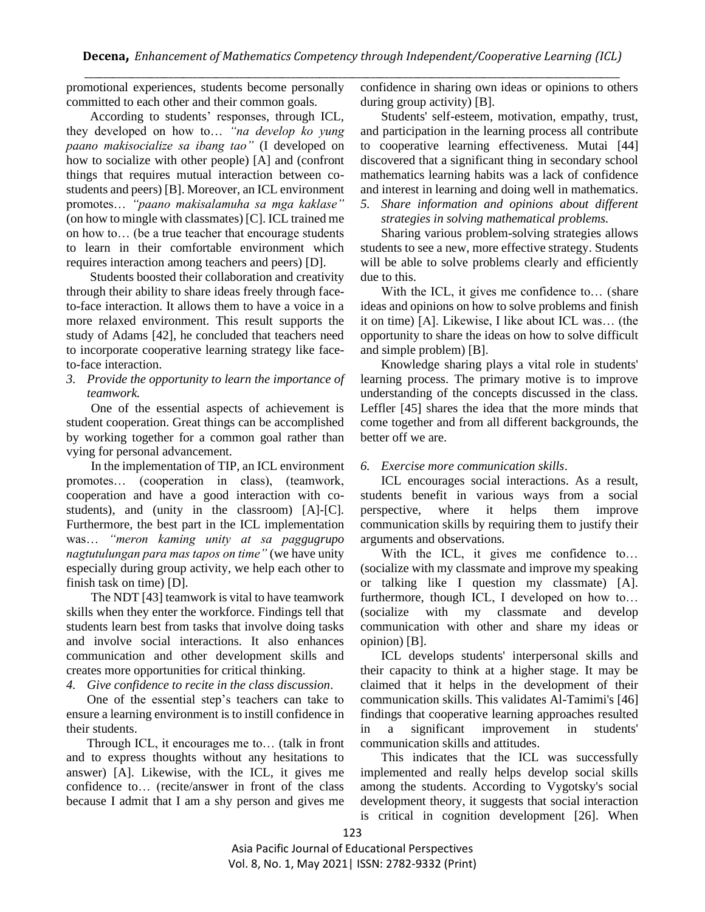promotional experiences, students become personally committed to each other and their common goals.

According to students' responses, through ICL, they developed on how to… *"na develop ko yung paano makisocialize sa ibang tao"* (I developed on how to socialize with other people) [A] and (confront things that requires mutual interaction between costudents and peers) [B]. Moreover, an ICL environment promotes… *"paano makisalamuha sa mga kaklase"* (on how to mingle with classmates) [C]. ICL trained me on how to… (be a true teacher that encourage students to learn in their comfortable environment which requires interaction among teachers and peers) [D].

Students boosted their collaboration and creativity through their ability to share ideas freely through faceto-face interaction. It allows them to have a voice in a more relaxed environment. This result supports the study of Adams [42], he concluded that teachers need to incorporate cooperative learning strategy like faceto-face interaction.

*3. Provide the opportunity to learn the importance of teamwork.*

One of the essential aspects of achievement is student cooperation. Great things can be accomplished by working together for a common goal rather than vying for personal advancement.

In the implementation of TIP, an ICL environment promotes… (cooperation in class), (teamwork, cooperation and have a good interaction with costudents), and (unity in the classroom) [A]-[C]. Furthermore, the best part in the ICL implementation was… *"meron kaming unity at sa paggugrupo nagtutulungan para mas tapos on time"* (we have unity especially during group activity, we help each other to finish task on time) [D].

The NDT [43] teamwork is vital to have teamwork skills when they enter the workforce. Findings tell that students learn best from tasks that involve doing tasks and involve social interactions. It also enhances communication and other development skills and creates more opportunities for critical thinking.

*4. Give confidence to recite in the class discussion*.

One of the essential step's teachers can take to ensure a learning environment is to instill confidence in their students.

Through ICL, it encourages me to… (talk in front and to express thoughts without any hesitations to answer) [A]. Likewise, with the ICL, it gives me confidence to… (recite/answer in front of the class because I admit that I am a shy person and gives me confidence in sharing own ideas or opinions to others during group activity) [B].

Students' self-esteem, motivation, empathy, trust, and participation in the learning process all contribute to cooperative learning effectiveness. Mutai [44] discovered that a significant thing in secondary school mathematics learning habits was a lack of confidence and interest in learning and doing well in mathematics.

*5. Share information and opinions about different strategies in solving mathematical problems.* 

Sharing various problem-solving strategies allows students to see a new, more effective strategy. Students will be able to solve problems clearly and efficiently due to this.

With the ICL, it gives me confidence to... (share ideas and opinions on how to solve problems and finish it on time) [A]. Likewise, I like about ICL was… (the opportunity to share the ideas on how to solve difficult and simple problem) [B].

Knowledge sharing plays a vital role in students' learning process. The primary motive is to improve understanding of the concepts discussed in the class. Leffler [45] shares the idea that the more minds that come together and from all different backgrounds, the better off we are.

## *6. Exercise more communication skills*.

ICL encourages social interactions. As a result, students benefit in various ways from a social perspective, where it helps them improve communication skills by requiring them to justify their arguments and observations.

With the ICL, it gives me confidence to... (socialize with my classmate and improve my speaking or talking like I question my classmate) [A]. furthermore, though ICL, I developed on how to… (socialize with my classmate and develop communication with other and share my ideas or opinion) [B].

ICL develops students' interpersonal skills and their capacity to think at a higher stage. It may be claimed that it helps in the development of their communication skills. This validates Al-Tamimi's [46] findings that cooperative learning approaches resulted in a significant improvement in students' communication skills and attitudes.

This indicates that the ICL was successfully implemented and really helps develop social skills among the students. According to Vygotsky's social development theory, it suggests that social interaction is critical in cognition development [26]. When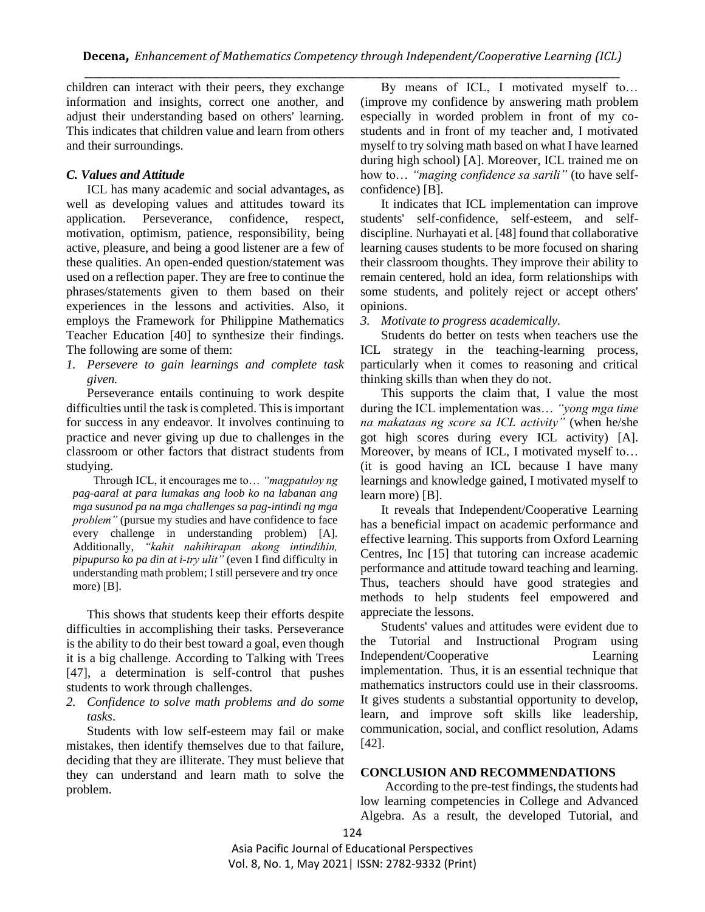children can interact with their peers, they exchange information and insights, correct one another, and adjust their understanding based on others' learning. This indicates that children value and learn from others and their surroundings.

## *C. Values and Attitude*

ICL has many academic and social advantages, as well as developing values and attitudes toward its application. Perseverance, confidence, respect, motivation, optimism, patience, responsibility, being active, pleasure, and being a good listener are a few of these qualities. An open-ended question/statement was used on a reflection paper. They are free to continue the phrases/statements given to them based on their experiences in the lessons and activities. Also, it employs the Framework for Philippine Mathematics Teacher Education [40] to synthesize their findings. The following are some of them:

*1. Persevere to gain learnings and complete task given.*

Perseverance entails continuing to work despite difficulties until the task is completed. This is important for success in any endeavor. It involves continuing to practice and never giving up due to challenges in the classroom or other factors that distract students from studying.

Through ICL, it encourages me to… *"magpatuloy ng pag-aaral at para lumakas ang loob ko na labanan ang mga susunod pa na mga challenges sa pag-intindi ng mga problem"* (pursue my studies and have confidence to face every challenge in understanding problem) [A]. Additionally, *"kahit nahihirapan akong intindihin, pipupurso ko pa din at i-try ulit"* (even I find difficulty in understanding math problem; I still persevere and try once more) [B].

This shows that students keep their efforts despite difficulties in accomplishing their tasks. Perseverance is the ability to do their best toward a goal, even though it is a big challenge. According to Talking with Trees [47], a determination is self-control that pushes students to work through challenges.

*2. Confidence to solve math problems and do some tasks*.

Students with low self-esteem may fail or make mistakes, then identify themselves due to that failure, deciding that they are illiterate. They must believe that they can understand and learn math to solve the problem.

By means of ICL, I motivated myself to… (improve my confidence by answering math problem especially in worded problem in front of my costudents and in front of my teacher and, I motivated myself to try solving math based on what I have learned during high school) [A]. Moreover, ICL trained me on how to… *"maging confidence sa sarili"* (to have selfconfidence) [B].

It indicates that ICL implementation can improve students' self-confidence, self-esteem, and selfdiscipline. Nurhayati et al. [48] found that collaborative learning causes students to be more focused on sharing their classroom thoughts. They improve their ability to remain centered, hold an idea, form relationships with some students, and politely reject or accept others' opinions.

*3. Motivate to progress academically.*

Students do better on tests when teachers use the ICL strategy in the teaching-learning process, particularly when it comes to reasoning and critical thinking skills than when they do not.

This supports the claim that, I value the most during the ICL implementation was… *"yong mga time na makataas ng score sa ICL activity"* (when he/she got high scores during every ICL activity) [A]. Moreover, by means of ICL, I motivated myself to… (it is good having an ICL because I have many learnings and knowledge gained, I motivated myself to learn more) [B].

It reveals that Independent/Cooperative Learning has a beneficial impact on academic performance and effective learning. This supports from Oxford Learning Centres, Inc [15] that tutoring can increase academic performance and attitude toward teaching and learning. Thus, teachers should have good strategies and methods to help students feel empowered and appreciate the lessons.

Students' values and attitudes were evident due to the Tutorial and Instructional Program using Independent/Cooperative Learning implementation. Thus, it is an essential technique that mathematics instructors could use in their classrooms. It gives students a substantial opportunity to develop, learn, and improve soft skills like leadership, communication, social, and conflict resolution, Adams [42].

#### **CONCLUSION AND RECOMMENDATIONS**

According to the pre-test findings, the students had low learning competencies in College and Advanced Algebra. As a result, the developed Tutorial, and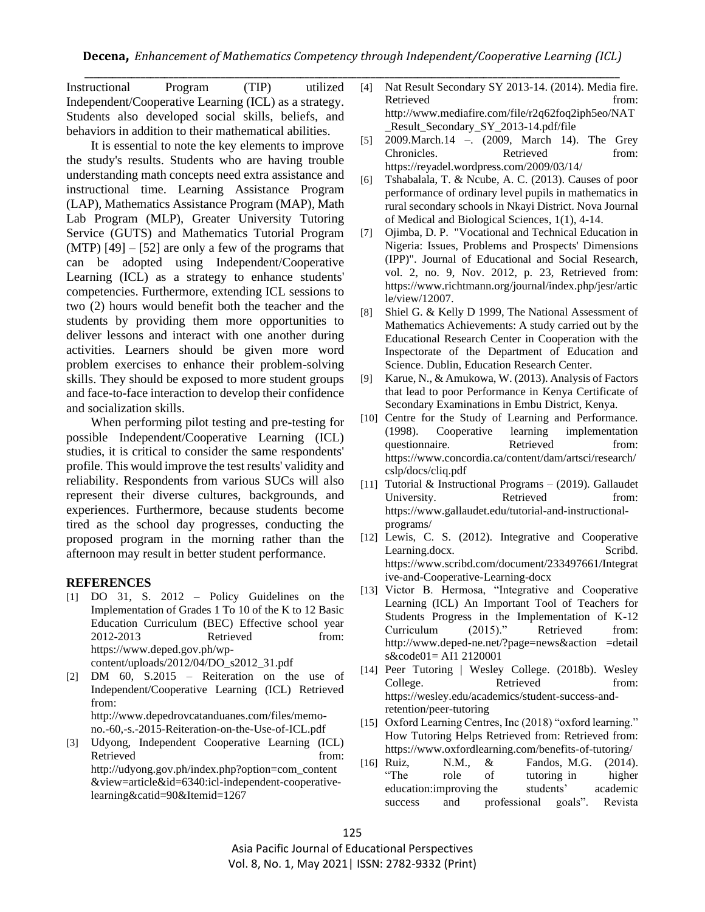Instructional Program (TIP) utilized Independent/Cooperative Learning (ICL) as a strategy. Students also developed social skills, beliefs, and behaviors in addition to their mathematical abilities.

It is essential to note the key elements to improve the study's results. Students who are having trouble understanding math concepts need extra assistance and instructional time. Learning Assistance Program (LAP), Mathematics Assistance Program (MAP), Math Lab Program (MLP), Greater University Tutoring Service (GUTS) and Mathematics Tutorial Program  $(MTP)$  [49] – [52] are only a few of the programs that can be adopted using Independent/Cooperative Learning (ICL) as a strategy to enhance students' competencies. Furthermore, extending ICL sessions to two (2) hours would benefit both the teacher and the students by providing them more opportunities to deliver lessons and interact with one another during activities. Learners should be given more word problem exercises to enhance their problem-solving skills. They should be exposed to more student groups and face-to-face interaction to develop their confidence and socialization skills.

When performing pilot testing and pre-testing for possible Independent/Cooperative Learning (ICL) studies, it is critical to consider the same respondents' profile. This would improve the test results' validity and reliability. Respondents from various SUCs will also represent their diverse cultures, backgrounds, and experiences. Furthermore, because students become tired as the school day progresses, conducting the proposed program in the morning rather than the afternoon may result in better student performance.

#### **REFERENCES**

- [1] DO 31, S. 2012 Policy Guidelines on the Implementation of Grades 1 To 10 of the K to 12 Basic Education Curriculum (BEC) Effective school year 2012-2013 Retrieved from: [https://www.deped.gov.ph/wp](https://www.deped.gov.ph/wp-content/uploads/2012/04/DO_s2012_31.pdf)[content/uploads/2012/04/DO\\_s2012\\_31.pdf](https://www.deped.gov.ph/wp-content/uploads/2012/04/DO_s2012_31.pdf)
- [2] DM 60, S.2015 Reiteration on the use of Independent/Cooperative Learning (ICL) Retrieved from: [http://www.depedrovcatanduanes.com/files/memo](http://www.depedrovcatanduanes.com/files/memo-no.-60,-s.-2015-Reiteration-on-the-Use-of-ICL.pdf)[no.-60,-s.-2015-Reiteration-on-the-Use-of-ICL.pdf](http://www.depedrovcatanduanes.com/files/memo-no.-60,-s.-2015-Reiteration-on-the-Use-of-ICL.pdf)
- [3] Udyong, Independent Cooperative Learning (ICL) Retrieved from: [http://udyong.gov.ph/index.php?option=com\\_content](http://udyong.gov.ph/index.php?option=com_content&view=article&id=6340:icl-independent-cooperative-learning&catid=90&Itemid=1267) [&view=article&id=6340:icl-independent-cooperative](http://udyong.gov.ph/index.php?option=com_content&view=article&id=6340:icl-independent-cooperative-learning&catid=90&Itemid=1267)[learning&catid=90&Itemid=1267](http://udyong.gov.ph/index.php?option=com_content&view=article&id=6340:icl-independent-cooperative-learning&catid=90&Itemid=1267)
- [4] Nat Result Secondary SY 2013-14. (2014). Media fire. Retrieved from: [http://www.mediafire.com/file/r2q62foq2iph5eo/NAT](http://www.mediafire.com/file/r2q62foq2iph5eo/NAT_RESULT_SECONDARY_SY_2013-14.pdf/file) [\\_Result\\_Secondary\\_SY\\_2013-14.pdf/file](http://www.mediafire.com/file/r2q62foq2iph5eo/NAT_RESULT_SECONDARY_SY_2013-14.pdf/file)
- [5] 2009.March.14 –. (2009, March 14). The Grey Chronicles. Retrieved from: <https://reyadel.wordpress.com/2009/03/14/>
- [6] Tshabalala, T. & Ncube, A. C. (2013). Causes of poor performance of ordinary level pupils in mathematics in rural secondary schools in Nkayi District. Nova Journal of Medical and Biological Sciences, 1(1), 4-14.
- [7] Ojimba, D. P. "Vocational and Technical Education in Nigeria: Issues, Problems and Prospects' Dimensions (IPP)". Journal of Educational and Social Research, vol. 2, no. 9, Nov. 2012, p. 23, Retrieved from: [https://www.richtmann.org/journal/index.php/jesr/artic](https://www.richtmann.org/journal/index.php/jesr/article/view/12007) [le/view/12007.](https://www.richtmann.org/journal/index.php/jesr/article/view/12007)
- [8] Shiel G. & Kelly D 1999, The National Assessment of Mathematics Achievements: A study carried out by the Educational Research Center in Cooperation with the Inspectorate of the Department of Education and Science. Dublin, Education Research Center.
- [9] Karue, N., & Amukowa, W. (2013). Analysis of Factors that lead to poor Performance in Kenya Certificate of Secondary Examinations in Embu District, Kenya.
- [10] Centre for the Study of Learning and Performance. (1998). Cooperative learning implementation questionnaire. Retrieved from: [https://www.concordia.ca/content/dam/artsci/research/](https://www.concordia.ca/content/dam/artsci/research/cslp/docs/cliq.pdf) [cslp/docs/cliq.pdf](https://www.concordia.ca/content/dam/artsci/research/cslp/docs/cliq.pdf)
- [11] Tutorial & Instructional Programs (2019). Gallaudet University. Retrieved from: [https://www.gallaudet.edu/tutorial-and-instructional](https://www.gallaudet.edu/tutorial-and-instructional-programs/)[programs/](https://www.gallaudet.edu/tutorial-and-instructional-programs/)
- [12] Lewis, C. S. (2012). Integrative and Cooperative Learning.docx. Scribd. [https://www.scribd.com/document/233497661/Integrat](https://www.scribd.com/document/233497661/Integrative-and-Cooperative-Learning-docx) [ive-and-Cooperative-Learning-docx](https://www.scribd.com/document/233497661/Integrative-and-Cooperative-Learning-docx)
- [13] Victor B. Hermosa, "Integrative and Cooperative Learning (ICL) An Important Tool of Teachers for Students Progress in the Implementation of K-12 Curriculum (2015)." Retrieved from: http://www.deped-ne.net/?page=news&action =detail s&code01= AI1 2120001
- [14] Peer Tutoring | Wesley College. (2018b). Wesley College. Retrieved from: [https://wesley.edu/academics/student-success-and](https://wesley.edu/academics/student-success-and-retention/peer-tutoring)[retention/peer-tutoring](https://wesley.edu/academics/student-success-and-retention/peer-tutoring)
- [15] Oxford Learning Centres, Inc (2018) "oxford learning." How Tutoring Helps Retrieved from: Retrieved from: <https://www.oxfordlearning.com/benefits-of-tutoring/>
- [16] Ruiz, N.M., & Fandos, M.G. (2014). "The role of tutoring in higher education:improving the students' academic success and professional goals". Revista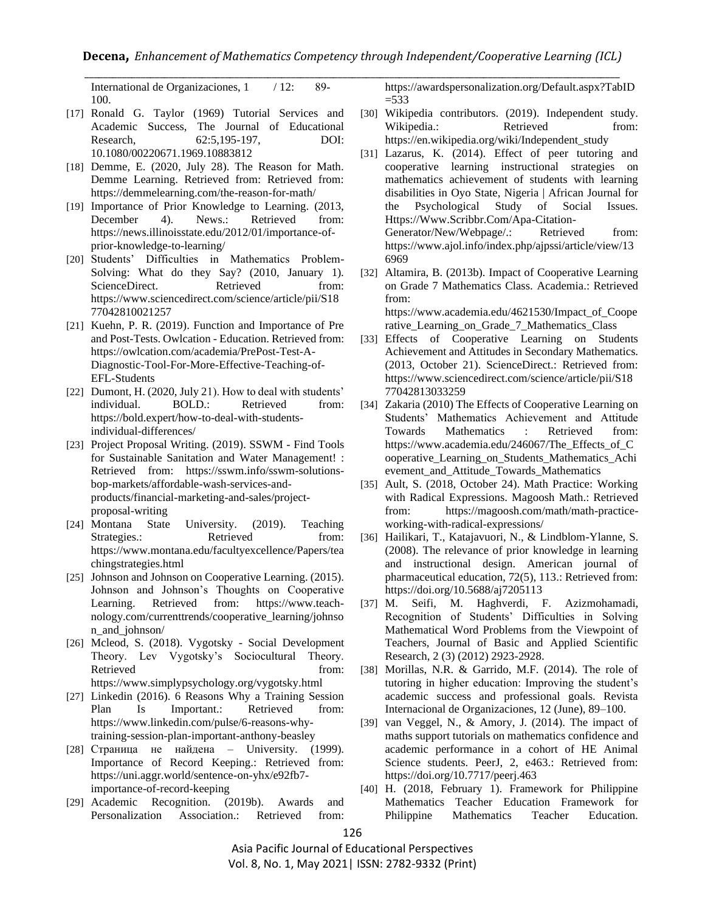International de Organizaciones, 1 / 12: 89-100.

- [17] Ronald G. Taylor (1969) Tutorial Services and Academic Success, The Journal of Educational Research, 62:5,195-197, DOI: 10.1080/00220671.1969.10883812
- [18] Demme, E. (2020, July 28). The Reason for Math. Demme Learning. Retrieved from: Retrieved from: <https://demmelearning.com/the-reason-for-math/>
- [19] Importance of Prior Knowledge to Learning. (2013, December 4). News.: Retrieved from: [https://news.illinoisstate.edu/2012/01/importance-of](https://news.illinoisstate.edu/2012/01/importance-of-prior-knowledge-to-learning/)[prior-knowledge-to-learning/](https://news.illinoisstate.edu/2012/01/importance-of-prior-knowledge-to-learning/)
- [20] Students' Difficulties in Mathematics Problem-Solving: What do they Say? (2010, January 1). ScienceDirect. Retrieved from: [https://www.sciencedirect.com/science/article/pii/S18](https://www.sciencedirect.com/science/article/pii/S1877042810021257) [77042810021257](https://www.sciencedirect.com/science/article/pii/S1877042810021257)
- [21] Kuehn, P. R. (2019). Function and Importance of Pre and Post-Tests. Owlcation - Education. Retrieved from: [https://owlcation.com/academia/PrePost-Test-A-](https://owlcation.com/academia/PrePost-Test-A-Diagnostic-Tool-For-More-Effective-Teaching-of-EFL-Students)[Diagnostic-Tool-For-More-Effective-Teaching-of-](https://owlcation.com/academia/PrePost-Test-A-Diagnostic-Tool-For-More-Effective-Teaching-of-EFL-Students)[EFL-Students](https://owlcation.com/academia/PrePost-Test-A-Diagnostic-Tool-For-More-Effective-Teaching-of-EFL-Students)
- [22] Dumont, H. (2020, July 21). How to deal with students' individual. BOLD.: Retrieved from: [https://bold.expert/how-to-deal-with-students](https://bold.expert/how-to-deal-with-students-individual-differences/)[individual-differences/](https://bold.expert/how-to-deal-with-students-individual-differences/)
- [23] Project Proposal Writing. (2019). SSWM Find Tools for Sustainable Sanitation and Water Management! : Retrieved from: [https://sswm.info/sswm-solutions](https://sswm.info/sswm-solutions-bop-markets/affordable-wash-services-and-products/financial-marketing-and-sales/project-proposal-writing)[bop-markets/affordable-wash-services-and](https://sswm.info/sswm-solutions-bop-markets/affordable-wash-services-and-products/financial-marketing-and-sales/project-proposal-writing)[products/financial-marketing-and-sales/project](https://sswm.info/sswm-solutions-bop-markets/affordable-wash-services-and-products/financial-marketing-and-sales/project-proposal-writing)[proposal-writing](https://sswm.info/sswm-solutions-bop-markets/affordable-wash-services-and-products/financial-marketing-and-sales/project-proposal-writing)
- [24] Montana State University. (2019). Teaching Strategies.: Retrieved from: [https://www.montana.edu/facultyexcellence/Papers/tea](https://www.montana.edu/facultyexcellence/Papers/teachingstrategies.html) [chingstrategies.html](https://www.montana.edu/facultyexcellence/Papers/teachingstrategies.html)
- [25] Johnson and Johnson on Cooperative Learning. (2015). Johnson and Johnson's Thoughts on Cooperative Learning. Retrieved from: [https://www.teach](https://www.teach-nology.com/currenttrends/cooperative_learning/johnson_and_johnson/)[nology.com/currenttrends/cooperative\\_learning/johnso](https://www.teach-nology.com/currenttrends/cooperative_learning/johnson_and_johnson/) [n\\_and\\_johnson/](https://www.teach-nology.com/currenttrends/cooperative_learning/johnson_and_johnson/)
- [26] Mcleod, S. (2018). Vygotsky Social Development Theory. Lev Vygotsky's Sociocultural Theory. Retrieved from: <https://www.simplypsychology.org/vygotsky.html>
- [27] Linkedin (2016). 6 Reasons Why a Training Session Plan Is Important.: Retrieved from: [https://www.linkedin.com/pulse/6-reasons-why](https://www.linkedin.com/pulse/6-reasons-why-training-session-plan-important-anthony-beasley)[training-session-plan-important-anthony-beasley](https://www.linkedin.com/pulse/6-reasons-why-training-session-plan-important-anthony-beasley)
- [28] Страница не найдена University. (1999). Importance of Record Keeping.: Retrieved from: [https://uni.aggr.world/sentence-on-yhx/e92fb7](https://uni.aggr.world/sentence-on-yhx/e92fb7-importance-of-record-keeping) [importance-of-record-keeping](https://uni.aggr.world/sentence-on-yhx/e92fb7-importance-of-record-keeping)
- [29] Academic Recognition. (2019b). Awards and Personalization Association.: Retrieved from:

[https://awardspersonalization.org/Default.aspx?TabID](https://awardspersonalization.org/Default.aspx?TabID=533)  $= 533$ 

- [30] Wikipedia contributors. (2019). Independent study. Wikipedia.: Retrieved from: [https://en.wikipedia.org/wiki/Independent\\_study](https://en.wikipedia.org/wiki/Independent_study)
- [31] Lazarus, K. (2014). Effect of peer tutoring and cooperative learning instructional strategies on mathematics achievement of students with learning disabilities in Oyo State, Nigeria | African Journal for the Psychological Study of Social Issues. Https://Www.Scribbr.Com/Apa-Citation-Generator/New/Webpage/.: Retrieved from: [https://www.ajol.info/index.php/ajpssi/article/view/13](https://www.ajol.info/index.php/ajpssi/article/view/136969) [6969](https://www.ajol.info/index.php/ajpssi/article/view/136969)
- [32] Altamira, B. (2013b). Impact of Cooperative Learning on Grade 7 Mathematics Class. Academia.: Retrieved from:

[https://www.academia.edu/4621530/Impact\\_of\\_Coope](https://www.academia.edu/4621530/Impact_of_Cooperative_Learning_on_Grade_7_Mathematics_Class) rative Learning on Grade 7 Mathematics Class

- [33] Effects of Cooperative Learning on Students Achievement and Attitudes in Secondary Mathematics. (2013, October 21). ScienceDirect.: Retrieved from: [https://www.sciencedirect.com/science/article/pii/S18](https://www.sciencedirect.com/science/article/pii/S1877042813033259) [77042813033259](https://www.sciencedirect.com/science/article/pii/S1877042813033259)
- [34] Zakaria (2010) The Effects of Cooperative Learning on Students' Mathematics Achievement and Attitude Towards Mathematics : Retrieved from: [https://www.academia.edu/246067/The\\_Effects\\_of\\_C](https://www.academia.edu/246067/The_Effects_of_Cooperative_Learning_on_Students_Mathematics_Achievement_and_Attitude_Towards_Mathematics) [ooperative\\_Learning\\_on\\_Students\\_Mathematics\\_Achi](https://www.academia.edu/246067/The_Effects_of_Cooperative_Learning_on_Students_Mathematics_Achievement_and_Attitude_Towards_Mathematics) evement and Attitude Towards Mathematics
- [35] Ault, S. (2018, October 24). Math Practice: Working with Radical Expressions. Magoosh Math.: Retrieved from: [https://magoosh.com/math/math-practice](https://magoosh.com/math/math-practice-working-with-radical-expressions/)[working-with-radical-expressions/](https://magoosh.com/math/math-practice-working-with-radical-expressions/)
- [36] Hailikari, T., Katajavuori, N., & Lindblom-Ylanne, S. (2008). The relevance of prior knowledge in learning and instructional design. American journal of pharmaceutical education, 72(5), 113.: Retrieved from: <https://doi.org/10.5688/aj7205113>
- [37] M. Seifi, M. Haghverdi, F. Azizmohamadi, Recognition of Students' Difficulties in Solving Mathematical Word Problems from the Viewpoint of Teachers, Journal of Basic and Applied Scientific Research, 2 (3) (2012) 2923-2928.
- [38] Morillas, N.R. & Garrido, M.F. (2014). The role of tutoring in higher education: Improving the student's academic success and professional goals. Revista Internacional de Organizaciones, 12 (June), 89–100.
- [39] van Veggel, N., & Amory, J. (2014). The impact of maths support tutorials on mathematics confidence and academic performance in a cohort of HE Animal Science students. PeerJ, 2, e463.: Retrieved from: <https://doi.org/10.7717/peerj.463>
- [40] H. (2018, February 1). Framework for Philippine Mathematics Teacher Education Framework for Philippine Mathematics Teacher Education.